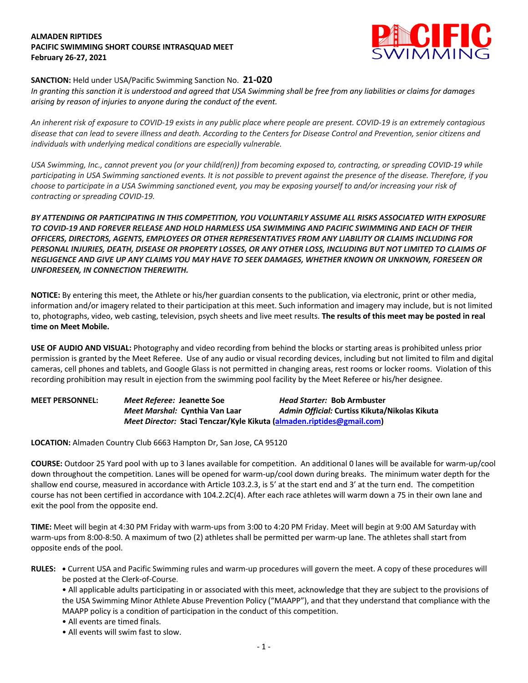## **ALMADEN RIPTIDES PACIFIC SWIMMING SHORT COURSE INTRASQUAD MEET February 26-27, 2021**



## **SANCTION:** Held under USA/Pacific Swimming Sanction No. **21-020**

*In granting this sanction it is understood and agreed that USA Swimming shall be free from any liabilities or claims for damages arising by reason of injuries to anyone during the conduct of the event.* 

*An inherent risk of exposure to COVID-19 exists in any public place where people are present. COVID-19 is an extremely contagious disease that can lead to severe illness and death. According to the Centers for Disease Control and Prevention, senior citizens and individuals with underlying medical conditions are especially vulnerable.*

*USA Swimming, Inc., cannot prevent you (or your child(ren)) from becoming exposed to, contracting, or spreading COVID-19 while participating in USA Swimming sanctioned events. It is not possible to prevent against the presence of the disease. Therefore, if you choose to participate in a USA Swimming sanctioned event, you may be exposing yourself to and/or increasing your risk of contracting or spreading COVID-19.*

*BY ATTENDING OR PARTICIPATING IN THIS COMPETITION, YOU VOLUNTARILY ASSUME ALL RISKS ASSOCIATED WITH EXPOSURE TO COVID-19 AND FOREVER RELEASE AND HOLD HARMLESS USA SWIMMING AND PACIFIC SWIMMING AND EACH OF THEIR OFFICERS, DIRECTORS, AGENTS, EMPLOYEES OR OTHER REPRESENTATIVES FROM ANY LIABILITY OR CLAIMS INCLUDING FOR PERSONAL INJURIES, DEATH, DISEASE OR PROPERTY LOSSES, OR ANY OTHER LOSS, INCLUDING BUT NOT LIMITED TO CLAIMS OF NEGLIGENCE AND GIVE UP ANY CLAIMS YOU MAY HAVE TO SEEK DAMAGES, WHETHER KNOWN OR UNKNOWN, FORESEEN OR UNFORESEEN, IN CONNECTION THEREWITH.*

**NOTICE:** By entering this meet, the Athlete or his/her guardian consents to the publication, via electronic, print or other media, information and/or imagery related to their participation at this meet. Such information and imagery may include, but is not limited to, photographs, video, web casting, television, psych sheets and live meet results. **The results of this meet may be posted in real time on Meet Mobile.**

**USE OF AUDIO AND VISUAL:** Photography and video recording from behind the blocks or starting areas is prohibited unless prior permission is granted by the Meet Referee. Use of any audio or visual recording devices, including but not limited to film and digital cameras, cell phones and tablets, and Google Glass is not permitted in changing areas, rest rooms or locker rooms. Violation of this recording prohibition may result in ejection from the swimming pool facility by the Meet Referee or his/her designee.

**MEET PERSONNEL:** *Meet Referee:* **Jeanette Soe** *Head Starter:* **Bob Armbuster** *Meet Marshal:* **Cynthia Van Laar** *Admin Official:* **Curtiss Kikuta/Nikolas Kikuta** *Meet Director:* **Staci Tenczar/Kyle Kikuta (almaden.riptides@gmail.com)**

**LOCATION:** Almaden Country Club 6663 Hampton Dr, San Jose, CA 95120

**COURSE:** Outdoor 25 Yard pool with up to 3 lanes available for competition. An additional 0 lanes will be available for warm-up/cool down throughout the competition. Lanes will be opened for warm-up/cool down during breaks. The minimum water depth for the shallow end course, measured in accordance with Article 103.2.3, is 5' at the start end and 3' at the turn end. The competition course has not been certified in accordance with 104.2.2C(4). After each race athletes will warm down a 75 in their own lane and exit the pool from the opposite end.

**TIME:** Meet will begin at 4:30 PM Friday with warm-ups from 3:00 to 4:20 PM Friday. Meet will begin at 9:00 AM Saturday with warm-ups from 8:00-8:50. A maximum of two (2) athletes shall be permitted per warm-up lane. The athletes shall start from opposite ends of the pool.

**RULES: •** Current USA and Pacific Swimming rules and warm-up procedures will govern the meet. A copy of these procedures will be posted at the Clerk-of-Course.

- All applicable adults participating in or associated with this meet, acknowledge that they are subject to the provisions of the USA Swimming Minor Athlete Abuse Prevention Policy ("MAAPP"), and that they understand that compliance with the MAAPP policy is a condition of participation in the conduct of this competition.
- All events are timed finals.
- All events will swim fast to slow.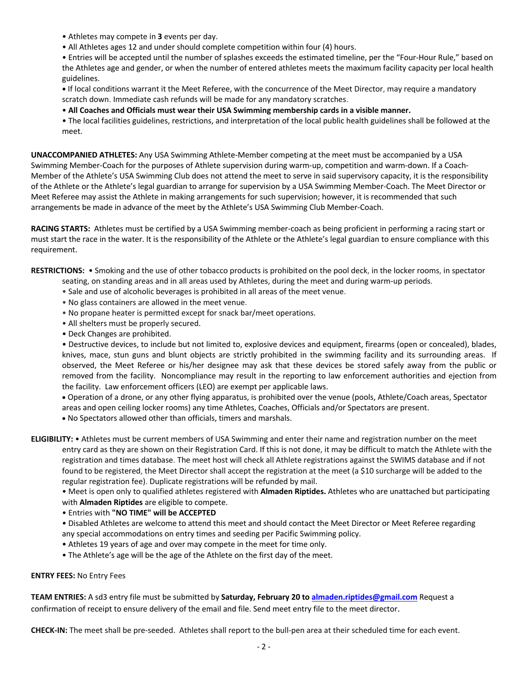- Athletes may compete in **3** events per day.
- All Athletes ages 12 and under should complete competition within four (4) hours.

• Entries will be accepted until the number of splashes exceeds the estimated timeline, per the "Four-Hour Rule," based on the Athletes age and gender, or when the number of entered athletes meets the maximum facility capacity per local health guidelines.

**•** If local conditions warrant it the Meet Referee, with the concurrence of the Meet Director, may require a mandatory scratch down. Immediate cash refunds will be made for any mandatory scratches.

• **All Coaches and Officials must wear their USA Swimming membership cards in a visible manner.**

• The local facilities guidelines, restrictions, and interpretation of the local public health guidelines shall be followed at the meet.

**UNACCOMPANIED ATHLETES:** Any USA Swimming Athlete-Member competing at the meet must be accompanied by a USA Swimming Member-Coach for the purposes of Athlete supervision during warm-up, competition and warm-down. If a Coach-Member of the Athlete's USA Swimming Club does not attend the meet to serve in said supervisory capacity, it is the responsibility of the Athlete or the Athlete's legal guardian to arrange for supervision by a USA Swimming Member-Coach. The Meet Director or Meet Referee may assist the Athlete in making arrangements for such supervision; however, it is recommended that such arrangements be made in advance of the meet by the Athlete's USA Swimming Club Member-Coach.

**RACING STARTS:** Athletes must be certified by a USA Swimming member-coach as being proficient in performing a racing start or must start the race in the water. It is the responsibility of the Athlete or the Athlete's legal guardian to ensure compliance with this requirement.

**RESTRICTIONS:** • Smoking and the use of other tobacco products is prohibited on the pool deck, in the locker rooms, in spectator

- seating, on standing areas and in all areas used by Athletes, during the meet and during warm-up periods.
	- Sale and use of alcoholic beverages is prohibited in all areas of the meet venue.
	- No glass containers are allowed in the meet venue.
	- No propane heater is permitted except for snack bar/meet operations.
	- All shelters must be properly secured.
	- Deck Changes are prohibited.

• Destructive devices, to include but not limited to, explosive devices and equipment, firearms (open or concealed), blades, knives, mace, stun guns and blunt objects are strictly prohibited in the swimming facility and its surrounding areas. If observed, the Meet Referee or his/her designee may ask that these devices be stored safely away from the public or removed from the facility. Noncompliance may result in the reporting to law enforcement authorities and ejection from the facility. Law enforcement officers (LEO) are exempt per applicable laws.

• Operation of a drone, or any other flying apparatus, is prohibited over the venue (pools, Athlete/Coach areas, Spectator areas and open ceiling locker rooms) any time Athletes, Coaches, Officials and/or Spectators are present.

• No Spectators allowed other than officials, timers and marshals.

**ELIGIBILITY:** • Athletes must be current members of USA Swimming and enter their name and registration number on the meet entry card as they are shown on their Registration Card. If this is not done, it may be difficult to match the Athlete with the registration and times database. The meet host will check all Athlete registrations against the SWIMS database and if not found to be registered, the Meet Director shall accept the registration at the meet (a \$10 surcharge will be added to the regular registration fee). Duplicate registrations will be refunded by mail.

• Meet is open only to qualified athletes registered with **Almaden Riptides.** Athletes who are unattached but participating with **Almaden Riptides** are eligible to compete.

• Entries with **"NO TIME" will be ACCEPTED**

- Disabled Athletes are welcome to attend this meet and should contact the Meet Director or Meet Referee regarding any special accommodations on entry times and seeding per Pacific Swimming policy.
- Athletes 19 years of age and over may compete in the meet for time only.
- The Athlete's age will be the age of the Athlete on the first day of the meet.

## **ENTRY FEES:** No Entry Fees

**TEAM ENTRIES:** A sd3 entry file must be submitted by **Saturday, February 20 to almaden.riptides@gmail.com** Request a confirmation of receipt to ensure delivery of the email and file. Send meet entry file to the meet director.

**CHECK-IN:** The meet shall be pre-seeded. Athletes shall report to the bull-pen area at their scheduled time for each event.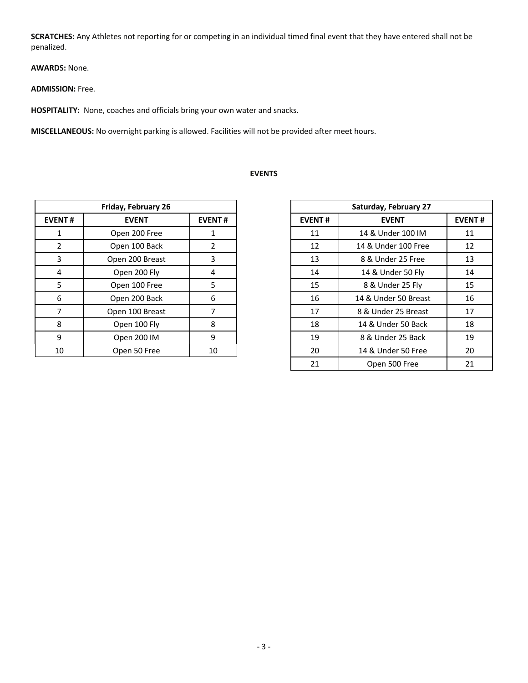**SCRATCHES:** Any Athletes not reporting for or competing in an individual timed final event that they have entered shall not be penalized.

**AWARDS:** None.

**ADMISSION:** Free.

**HOSPITALITY:** None, coaches and officials bring your own water and snacks.

**MISCELLANEOUS:** No overnight parking is allowed. Facilities will not be provided after meet hours.

| Friday, February 26 |                 |               |  |  |
|---------------------|-----------------|---------------|--|--|
| <b>EVENT#</b>       | <b>EVENT</b>    | <b>EVENT#</b> |  |  |
|                     | Open 200 Free   |               |  |  |
| 2                   | Open 100 Back   | $\mathcal{P}$ |  |  |
| 3                   | Open 200 Breast | 3             |  |  |
| 4                   | Open 200 Fly    | 4             |  |  |
| 5                   | Open 100 Free   | 5             |  |  |
| 6                   | Open 200 Back   | 6             |  |  |
|                     | Open 100 Breast |               |  |  |
| 8                   | Open 100 Fly    | 8             |  |  |
| 9                   | Open 200 IM     | 9             |  |  |
| 10                  | Open 50 Free    | 10            |  |  |

## **EVENTS**

| Friday, February 26 |                 |                |  |
|---------------------|-----------------|----------------|--|
| NT#                 | <b>EVENT</b>    | <b>EVENT#</b>  |  |
| 1                   | Open 200 Free   | 1              |  |
| 2                   | Open 100 Back   | $\overline{2}$ |  |
| 3                   | Open 200 Breast | 3              |  |
| 4                   | Open 200 Fly    | 4              |  |
| 5                   | Open 100 Free   | 5              |  |
| 6                   | Open 200 Back   | 6              |  |
| 7                   | Open 100 Breast | 7              |  |
| 8                   | Open 100 Fly    | 8              |  |
| 9                   | Open 200 IM     | 9              |  |
| LO.                 | Open 50 Free    | 10             |  |
|                     |                 |                |  |